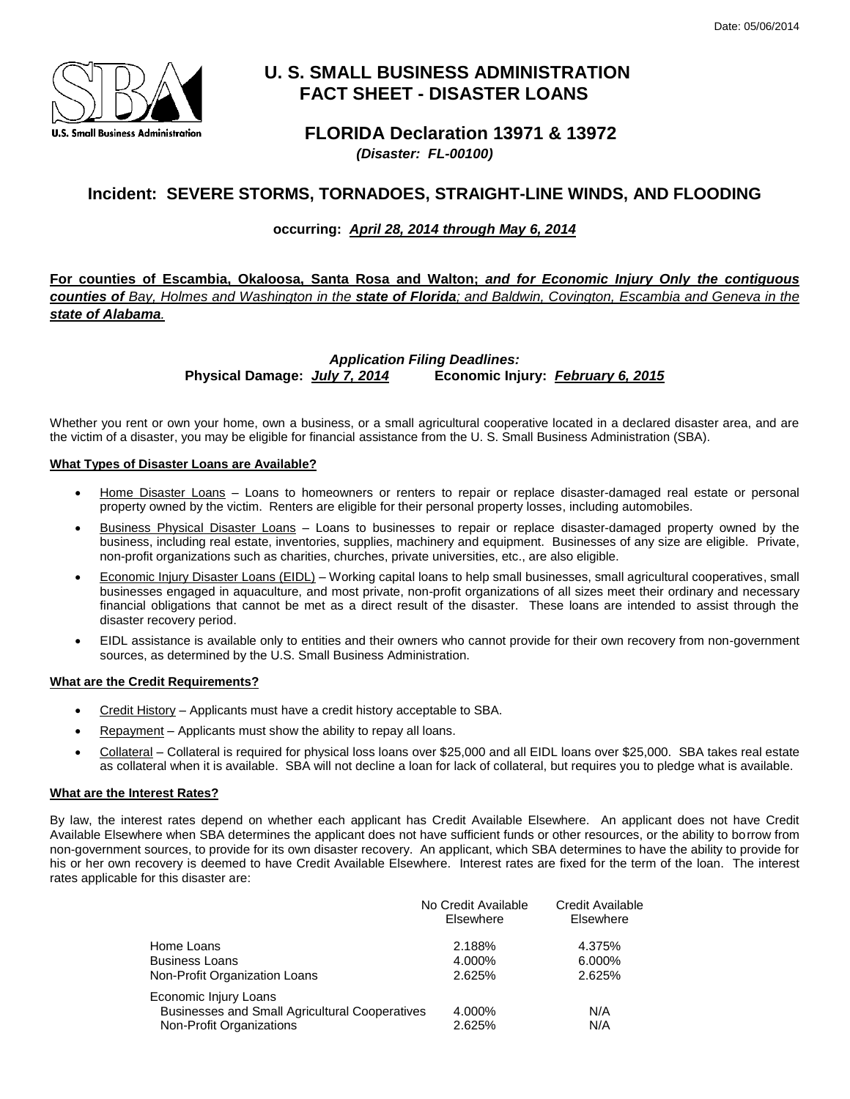

# **U. S. SMALL BUSINESS ADMINISTRATION FACT SHEET - DISASTER LOANS**

## **FLORIDA Declaration 13971 & 13972**

 *(Disaster: FL-00100)* 

## **Incident: SEVERE STORMS, TORNADOES, STRAIGHT-LINE WINDS, AND FLOODING**

### **occurring:** *April 28, 2014 through May 6, 2014*

 **For counties of Escambia, Okaloosa, Santa Rosa and Walton;** *and for Economic Injury Only the contiguous counties of Bay, Holmes and Washington in the state of Florida; and Baldwin, Covington, Escambia and Geneva in the*   *state of Alabama.* 

> **Physical Damage: July 7, 2014** *Application Filing Deadlines:* **Physical Damage:** *July 7, 2014* **Economic Injury:** *February 6, 2015*

 Whether you rent or own your home, own a business, or a small agricultural cooperative located in a declared disaster area, and are the victim of a disaster, you may be eligible for financial assistance from the U. S. Small Business Administration (SBA).

#### **What Types of Disaster Loans are Available?**

- property owned by the victim. Renters are eligible for their personal property losses, including automobiles. Home Disaster Loans – Loans to homeowners or renters to repair or replace disaster-damaged real estate or personal
- **Business Physical Disaster Loans** Loans to businesses to repair or replace disaster-damaged property owned by the business, including real estate, inventories, supplies, machinery and equipment. Businesses of any size are eligible. Private, non-profit organizations such as charities, churches, private universities, etc., are also eligible.
- **Economic Injury Disaster Loans (EIDL)** Working capital loans to help small businesses, small agricultural cooperatives, small businesses engaged in aquaculture, and most private, non-profit organizations of all sizes meet their ordinary and necessary financial obligations that cannot be met as a direct result of the disaster. These loans are intended to assist through the disaster recovery period.
- EIDL assistance is available only to entities and their owners who cannot provide for their own recovery from non-government sources, as determined by the U.S. Small Business Administration.

#### **What are the Credit Requirements?**

- Credit History Applicants must have a credit history acceptable to SBA.
- Repayment Applicants must show the ability to repay all loans.
- Collateral Collateral is required for physical loss loans over \$25,000 and all EIDL loans over \$25,000. SBA takes real estate as collateral when it is available. SBA will not decline a loan for lack of collateral, but requires you to pledge what is available.

#### **What are the Interest Rates?**

 By law, the interest rates depend on whether each applicant has Credit Available Elsewhere. An applicant does not have Credit Available Elsewhere when SBA determines the applicant does not have sufficient funds or other resources, or the ability to borrow from his or her own recovery is deemed to have Credit Available Elsewhere. Interest rates are fixed for the term of the loan. The interest non-government sources, to provide for its own disaster recovery. An applicant, which SBA determines to have the ability to provide for rates applicable for this disaster are:

|                                                       | No Credit Available<br>Elsewhere | Credit Available<br>Elsewhere |
|-------------------------------------------------------|----------------------------------|-------------------------------|
| Home Loans                                            | 2.188%                           | 4.375%                        |
| Business Loans                                        | 4.000%                           | 6.000%                        |
| Non-Profit Organization Loans                         | 2.625%                           | 2.625%                        |
| Economic Injury Loans                                 |                                  |                               |
| <b>Businesses and Small Agricultural Cooperatives</b> | 4.000%                           | N/A                           |
| Non-Profit Organizations                              | 2.625%                           | N/A                           |